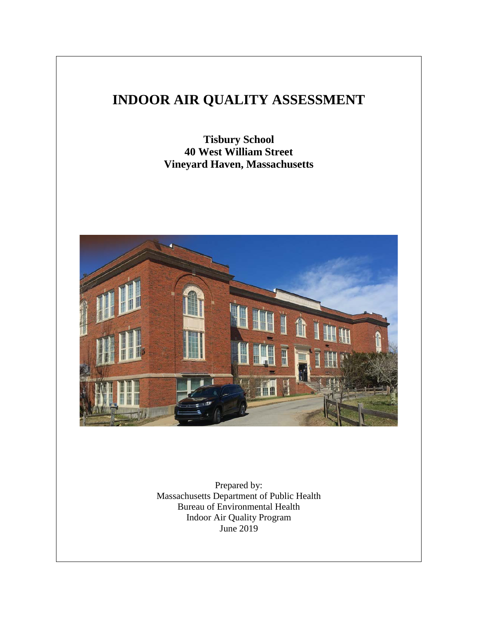# **INDOOR AIR QUALITY ASSESSMENT**

**Tisbury School 40 West William Street Vineyard Haven, Massachusetts**



Prepared by: Massachusetts Department of Public Health Bureau of Environmental Health Indoor Air Quality Program June 2019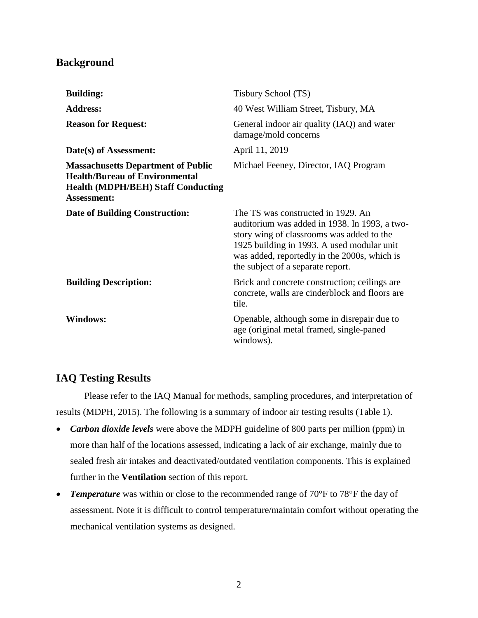## **Background**

| <b>Building:</b>                                                                                                                                      | Tisbury School (TS)                                                                                                                                                                                                                                                 |
|-------------------------------------------------------------------------------------------------------------------------------------------------------|---------------------------------------------------------------------------------------------------------------------------------------------------------------------------------------------------------------------------------------------------------------------|
| <b>Address:</b>                                                                                                                                       | 40 West William Street, Tisbury, MA                                                                                                                                                                                                                                 |
| <b>Reason for Request:</b>                                                                                                                            | General indoor air quality (IAQ) and water<br>damage/mold concerns                                                                                                                                                                                                  |
| Date(s) of Assessment:                                                                                                                                | April 11, 2019                                                                                                                                                                                                                                                      |
| <b>Massachusetts Department of Public</b><br><b>Health/Bureau of Environmental</b><br><b>Health (MDPH/BEH) Staff Conducting</b><br><b>Assessment:</b> | Michael Feeney, Director, IAQ Program                                                                                                                                                                                                                               |
| <b>Date of Building Construction:</b>                                                                                                                 | The TS was constructed in 1929. An<br>auditorium was added in 1938. In 1993, a two-<br>story wing of classrooms was added to the<br>1925 building in 1993. A used modular unit<br>was added, reportedly in the 2000s, which is<br>the subject of a separate report. |
| <b>Building Description:</b>                                                                                                                          | Brick and concrete construction; ceilings are<br>concrete, walls are cinderblock and floors are<br>tile.                                                                                                                                                            |
| <b>Windows:</b>                                                                                                                                       | Openable, although some in disrepair due to<br>age (original metal framed, single-paned<br>windows).                                                                                                                                                                |

## **IAQ Testing Results**

Please refer to the IAQ Manual for methods, sampling procedures, and interpretation of results (MDPH, 2015). The following is a summary of indoor air testing results (Table 1).

- *Carbon dioxide levels* were above the MDPH guideline of 800 parts per million (ppm) in more than half of the locations assessed, indicating a lack of air exchange, mainly due to sealed fresh air intakes and deactivated/outdated ventilation components. This is explained further in the **Ventilation** section of this report.
- *Temperature* was within or close to the recommended range of 70°F to 78°F the day of assessment. Note it is difficult to control temperature/maintain comfort without operating the mechanical ventilation systems as designed.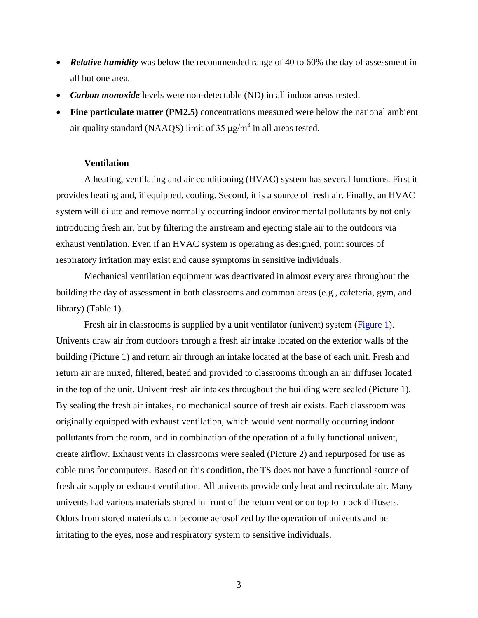- *Relative humidity* was below the recommended range of 40 to 60% the day of assessment in all but one area.
- *Carbon monoxide* levels were non-detectable (ND) in all indoor areas tested.
- Fine particulate matter (PM2.5) concentrations measured were below the national ambient air quality standard (NAAQS) limit of 35  $\mu$ g/m<sup>3</sup> in all areas tested.

### **Ventilation**

A heating, ventilating and air conditioning (HVAC) system has several functions. First it provides heating and, if equipped, cooling. Second, it is a source of fresh air. Finally, an HVAC system will dilute and remove normally occurring indoor environmental pollutants by not only introducing fresh air, but by filtering the airstream and ejecting stale air to the outdoors via exhaust ventilation. Even if an HVAC system is operating as designed, point sources of respiratory irritation may exist and cause symptoms in sensitive individuals.

Mechanical ventilation equipment was deactivated in almost every area throughout the building the day of assessment in both classrooms and common areas (e.g., cafeteria, gym, and library) (Table 1).

Fresh air in classrooms is supplied by a unit ventilator (univent) system [\(Figure 1\)](http://www.mass.gov/eohhs/docs/dph/environmental/iaq/appendices/univent.doc). Univents draw air from outdoors through a fresh air intake located on the exterior walls of the building (Picture 1) and return air through an intake located at the base of each unit. Fresh and return air are mixed, filtered, heated and provided to classrooms through an air diffuser located in the top of the unit. Univent fresh air intakes throughout the building were sealed (Picture 1). By sealing the fresh air intakes, no mechanical source of fresh air exists. Each classroom was originally equipped with exhaust ventilation, which would vent normally occurring indoor pollutants from the room, and in combination of the operation of a fully functional univent, create airflow. Exhaust vents in classrooms were sealed (Picture 2) and repurposed for use as cable runs for computers. Based on this condition, the TS does not have a functional source of fresh air supply or exhaust ventilation. All univents provide only heat and recirculate air. Many univents had various materials stored in front of the return vent or on top to block diffusers. Odors from stored materials can become aerosolized by the operation of univents and be irritating to the eyes, nose and respiratory system to sensitive individuals.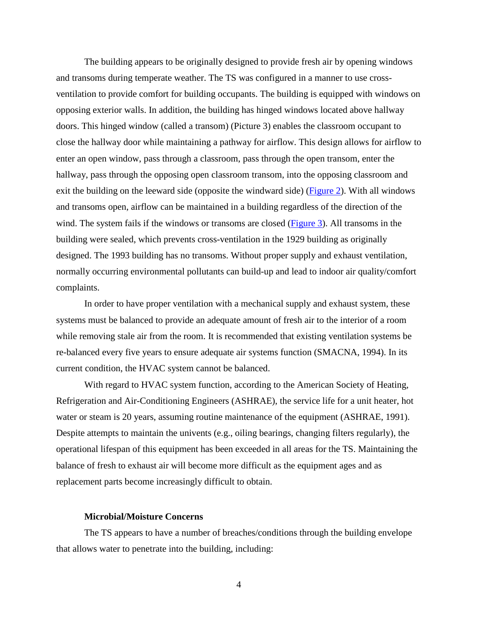The building appears to be originally designed to provide fresh air by opening windows and transoms during temperate weather. The TS was configured in a manner to use crossventilation to provide comfort for building occupants. The building is equipped with windows on opposing exterior walls. In addition, the building has hinged windows located above hallway doors. This hinged window (called a transom) (Picture 3) enables the classroom occupant to close the hallway door while maintaining a pathway for airflow. This design allows for airflow to enter an open window, pass through a classroom, pass through the open transom, enter the hallway, pass through the opposing open classroom transom, into the opposing classroom and exit the building on the leeward side (opposite the windward side) [\(Figure 2\)](https://www.mass.gov/doc/open-transoms-figure-0/). With all windows and transoms open, airflow can be maintained in a building regardless of the direction of the wind. The system fails if the windows or transoms are closed [\(Figure 3\)](https://www.mass.gov/doc/closed-transoms-figure-0/). All transoms in the building were sealed, which prevents cross-ventilation in the 1929 building as originally designed. The 1993 building has no transoms. Without proper supply and exhaust ventilation, normally occurring environmental pollutants can build-up and lead to indoor air quality/comfort complaints.

In order to have proper ventilation with a mechanical supply and exhaust system, these systems must be balanced to provide an adequate amount of fresh air to the interior of a room while removing stale air from the room. It is recommended that existing ventilation systems be re-balanced every five years to ensure adequate air systems function (SMACNA, 1994). In its current condition, the HVAC system cannot be balanced.

With regard to HVAC system function, according to the American Society of Heating, Refrigeration and Air-Conditioning Engineers (ASHRAE), the service life for a unit heater, hot water or steam is 20 years, assuming routine maintenance of the equipment (ASHRAE, 1991). Despite attempts to maintain the univents (e.g., oiling bearings, changing filters regularly), the operational lifespan of this equipment has been exceeded in all areas for the TS. Maintaining the balance of fresh to exhaust air will become more difficult as the equipment ages and as replacement parts become increasingly difficult to obtain.

### **Microbial/Moisture Concerns**

The TS appears to have a number of breaches/conditions through the building envelope that allows water to penetrate into the building, including: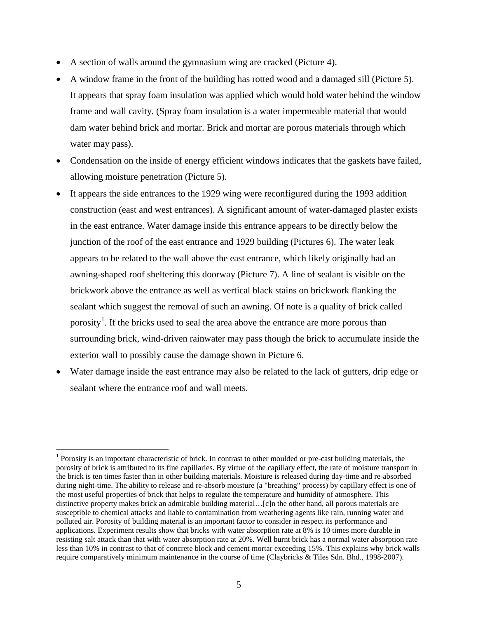- A section of walls around the gymnasium wing are cracked (Picture 4).
- A window frame in the front of the building has rotted wood and a damaged sill (Picture 5). It appears that spray foam insulation was applied which would hold water behind the window frame and wall cavity. (Spray foam insulation is a water impermeable material that would dam water behind brick and mortar. Brick and mortar are porous materials through which water may pass).
- Condensation on the inside of energy efficient windows indicates that the gaskets have failed, allowing moisture penetration (Picture 5).
- It appears the side entrances to the 1929 wing were reconfigured during the 1993 addition construction (east and west entrances). A significant amount of water-damaged plaster exists in the east entrance. Water damage inside this entrance appears to be directly below the junction of the roof of the east entrance and 1929 building (Pictures 6). The water leak appears to be related to the wall above the east entrance, which likely originally had an awning-shaped roof sheltering this doorway (Picture 7). A line of sealant is visible on the brickwork above the entrance as well as vertical black stains on brickwork flanking the sealant which suggest the removal of such an awning. Of note is a quality of brick called porosity<sup>[1](#page-4-0)</sup>. If the bricks used to seal the area above the entrance are more porous than surrounding brick, wind-driven rainwater may pass though the brick to accumulate inside the exterior wall to possibly cause the damage shown in Picture 6.
- Water damage inside the east entrance may also be related to the lack of gutters, drip edge or sealant where the entrance roof and wall meets.

 $\overline{a}$ 

<span id="page-4-0"></span><sup>&</sup>lt;sup>1</sup> Porosity is an important characteristic of brick. In contrast to other moulded or pre-cast building materials, the porosity of brick is attributed to its fine capillaries. By virtue of the capillary effect, the rate of moisture transport in the brick is ten times faster than in other building materials. Moisture is released during day-time and re-absorbed during night-time. The ability to release and re-absorb moisture (a "breathing" process) by capillary effect is one of the most useful properties of brick that helps to regulate the temperature and humidity of atmosphere. This distinctive property makes brick an admirable building material…[c]n the other hand, all porous materials are susceptible to chemical attacks and liable to contamination from weathering agents like rain, running water and polluted air. Porosity of building material is an important factor to consider in respect its performance and applications. Experiment results show that bricks with water absorption rate at 8% is 10 times more durable in resisting salt attack than that with water absorption rate at 20%. Well burnt brick has a normal water absorption rate less than 10% in contrast to that of concrete block and cement mortar exceeding 15%. This explains why brick walls require comparatively minimum maintenance in the course of time (Claybricks & Tiles Sdn. Bhd., 1998-2007).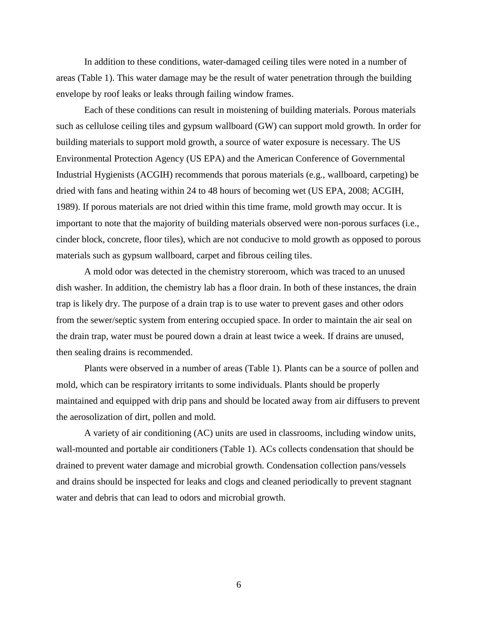In addition to these conditions, water-damaged ceiling tiles were noted in a number of areas (Table 1). This water damage may be the result of water penetration through the building envelope by roof leaks or leaks through failing window frames.

Each of these conditions can result in moistening of building materials. Porous materials such as cellulose ceiling tiles and gypsum wallboard (GW) can support mold growth. In order for building materials to support mold growth, a source of water exposure is necessary. The US Environmental Protection Agency (US EPA) and the American Conference of Governmental Industrial Hygienists (ACGIH) recommends that porous materials (e.g., wallboard, carpeting) be dried with fans and heating within 24 to 48 hours of becoming wet (US EPA, 2008; ACGIH, 1989). If porous materials are not dried within this time frame, mold growth may occur. It is important to note that the majority of building materials observed were non-porous surfaces (i.e., cinder block, concrete, floor tiles), which are not conducive to mold growth as opposed to porous materials such as gypsum wallboard, carpet and fibrous ceiling tiles.

A mold odor was detected in the chemistry storeroom, which was traced to an unused dish washer. In addition, the chemistry lab has a floor drain. In both of these instances, the drain trap is likely dry. The purpose of a drain trap is to use water to prevent gases and other odors from the sewer/septic system from entering occupied space. In order to maintain the air seal on the drain trap, water must be poured down a drain at least twice a week. If drains are unused, then sealing drains is recommended.

Plants were observed in a number of areas (Table 1). Plants can be a source of pollen and mold, which can be respiratory irritants to some individuals. Plants should be properly maintained and equipped with drip pans and should be located away from air diffusers to prevent the aerosolization of dirt, pollen and mold.

A variety of air conditioning (AC) units are used in classrooms, including window units, wall-mounted and portable air conditioners (Table 1). ACs collects condensation that should be drained to prevent water damage and microbial growth. Condensation collection pans/vessels and drains should be inspected for leaks and clogs and cleaned periodically to prevent stagnant water and debris that can lead to odors and microbial growth.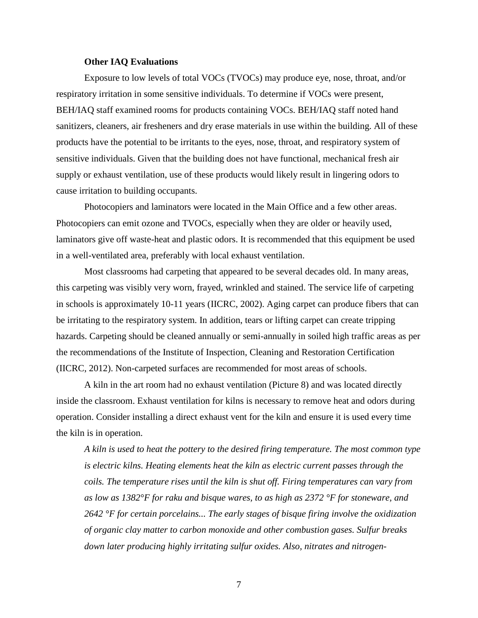### **Other IAQ Evaluations**

Exposure to low levels of total VOCs (TVOCs) may produce eye, nose, throat, and/or respiratory irritation in some sensitive individuals. To determine if VOCs were present, BEH/IAQ staff examined rooms for products containing VOCs. BEH/IAQ staff noted hand sanitizers, cleaners, air fresheners and dry erase materials in use within the building. All of these products have the potential to be irritants to the eyes, nose, throat, and respiratory system of sensitive individuals. Given that the building does not have functional, mechanical fresh air supply or exhaust ventilation, use of these products would likely result in lingering odors to cause irritation to building occupants.

Photocopiers and laminators were located in the Main Office and a few other areas. Photocopiers can emit ozone and TVOCs, especially when they are older or heavily used, laminators give off waste-heat and plastic odors. It is recommended that this equipment be used in a well-ventilated area, preferably with local exhaust ventilation.

Most classrooms had carpeting that appeared to be several decades old. In many areas, this carpeting was visibly very worn, frayed, wrinkled and stained. The service life of carpeting in schools is approximately 10-11 years (IICRC, 2002). Aging carpet can produce fibers that can be irritating to the respiratory system. In addition, tears or lifting carpet can create tripping hazards. Carpeting should be cleaned annually or semi-annually in soiled high traffic areas as per the recommendations of the Institute of Inspection, Cleaning and Restoration Certification (IICRC, 2012). Non-carpeted surfaces are recommended for most areas of schools.

A kiln in the art room had no exhaust ventilation (Picture 8) and was located directly inside the classroom. Exhaust ventilation for kilns is necessary to remove heat and odors during operation. Consider installing a direct exhaust vent for the kiln and ensure it is used every time the kiln is in operation.

*A kiln is used to heat the pottery to the desired firing temperature. The most common type is electric kilns. Heating elements heat the kiln as electric current passes through the coils. The temperature rises until the kiln is shut off. Firing temperatures can vary from as low as 1382°F for raku and bisque wares, to as high as 2372 °F for stoneware, and 2642 °F for certain porcelains... The early stages of bisque firing involve the oxidization of organic clay matter to carbon monoxide and other combustion gases. Sulfur breaks down later producing highly irritating sulfur oxides. Also, nitrates and nitrogen-*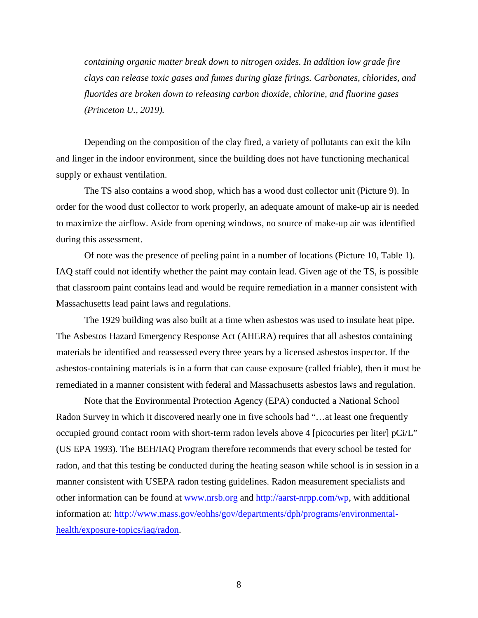*containing organic matter break down to nitrogen oxides. In addition low grade fire clays can release toxic gases and fumes during glaze firings. Carbonates, chlorides, and fluorides are broken down to releasing carbon dioxide, chlorine, and fluorine gases (Princeton U., 2019).*

Depending on the composition of the clay fired, a variety of pollutants can exit the kiln and linger in the indoor environment, since the building does not have functioning mechanical supply or exhaust ventilation.

The TS also contains a wood shop, which has a wood dust collector unit (Picture 9). In order for the wood dust collector to work properly, an adequate amount of make-up air is needed to maximize the airflow. Aside from opening windows, no source of make-up air was identified during this assessment.

Of note was the presence of peeling paint in a number of locations (Picture 10, Table 1). IAQ staff could not identify whether the paint may contain lead. Given age of the TS, is possible that classroom paint contains lead and would be require remediation in a manner consistent with Massachusetts lead paint laws and regulations.

The 1929 building was also built at a time when asbestos was used to insulate heat pipe. The Asbestos Hazard Emergency Response Act (AHERA) requires that all asbestos containing materials be identified and reassessed every three years by a licensed asbestos inspector. If the asbestos-containing materials is in a form that can cause exposure (called friable), then it must be remediated in a manner consistent with federal and Massachusetts asbestos laws and regulation.

Note that the Environmental Protection Agency (EPA) conducted a National School Radon Survey in which it discovered nearly one in five schools had "…at least one frequently occupied ground contact room with short-term radon levels above 4 [picocuries per liter] pCi/L" (US EPA 1993). The BEH/IAQ Program therefore recommends that every school be tested for radon, and that this testing be conducted during the heating season while school is in session in a manner consistent with USEPA radon testing guidelines. Radon measurement specialists and other information can be found at [www.nrsb.org](http://www.nrsb.org/) and [http://aarst-nrpp.com/wp,](http://aarst-nrpp.com/wp) with additional information at: [http://www.mass.gov/eohhs/gov/departments/dph/programs/environmental](http://www.mass.gov/eohhs/gov/departments/dph/programs/environmental-health/exposure-topics/iaq/radon)[health/exposure-topics/iaq/radon.](http://www.mass.gov/eohhs/gov/departments/dph/programs/environmental-health/exposure-topics/iaq/radon)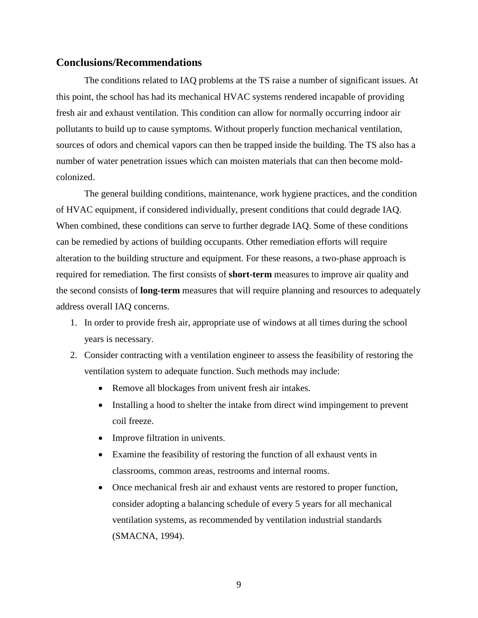### **Conclusions/Recommendations**

The conditions related to IAQ problems at the TS raise a number of significant issues. At this point, the school has had its mechanical HVAC systems rendered incapable of providing fresh air and exhaust ventilation. This condition can allow for normally occurring indoor air pollutants to build up to cause symptoms. Without properly function mechanical ventilation, sources of odors and chemical vapors can then be trapped inside the building. The TS also has a number of water penetration issues which can moisten materials that can then become moldcolonized.

The general building conditions, maintenance, work hygiene practices, and the condition of HVAC equipment, if considered individually, present conditions that could degrade IAQ. When combined, these conditions can serve to further degrade IAQ. Some of these conditions can be remedied by actions of building occupants. Other remediation efforts will require alteration to the building structure and equipment. For these reasons, a two-phase approach is required for remediation. The first consists of **short-term** measures to improve air quality and the second consists of **long-term** measures that will require planning and resources to adequately address overall IAQ concerns.

- 1. In order to provide fresh air, appropriate use of windows at all times during the school years is necessary.
- 2. Consider contracting with a ventilation engineer to assess the feasibility of restoring the ventilation system to adequate function. Such methods may include:
	- Remove all blockages from univent fresh air intakes.
	- Installing a hood to shelter the intake from direct wind impingement to prevent coil freeze.
	- Improve filtration in univents.
	- Examine the feasibility of restoring the function of all exhaust vents in classrooms, common areas, restrooms and internal rooms.
	- Once mechanical fresh air and exhaust vents are restored to proper function, consider adopting a balancing schedule of every 5 years for all mechanical ventilation systems, as recommended by ventilation industrial standards (SMACNA, 1994).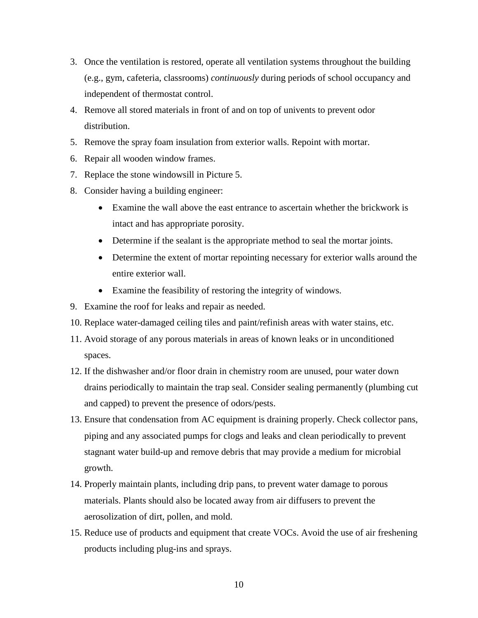- 3. Once the ventilation is restored, operate all ventilation systems throughout the building (e.g., gym, cafeteria, classrooms) *continuously* during periods of school occupancy and independent of thermostat control.
- 4. Remove all stored materials in front of and on top of univents to prevent odor distribution.
- 5. Remove the spray foam insulation from exterior walls. Repoint with mortar.
- 6. Repair all wooden window frames.
- 7. Replace the stone windowsill in Picture 5.
- 8. Consider having a building engineer:
	- Examine the wall above the east entrance to ascertain whether the brickwork is intact and has appropriate porosity.
	- Determine if the sealant is the appropriate method to seal the mortar joints.
	- Determine the extent of mortar repointing necessary for exterior walls around the entire exterior wall.
	- Examine the feasibility of restoring the integrity of windows.
- 9. Examine the roof for leaks and repair as needed.
- 10. Replace water-damaged ceiling tiles and paint/refinish areas with water stains, etc.
- 11. Avoid storage of any porous materials in areas of known leaks or in unconditioned spaces.
- 12. If the dishwasher and/or floor drain in chemistry room are unused, pour water down drains periodically to maintain the trap seal. Consider sealing permanently (plumbing cut and capped) to prevent the presence of odors/pests.
- 13. Ensure that condensation from AC equipment is draining properly. Check collector pans, piping and any associated pumps for clogs and leaks and clean periodically to prevent stagnant water build-up and remove debris that may provide a medium for microbial growth.
- 14. Properly maintain plants, including drip pans, to prevent water damage to porous materials. Plants should also be located away from air diffusers to prevent the aerosolization of dirt, pollen, and mold.
- 15. Reduce use of products and equipment that create VOCs. Avoid the use of air freshening products including plug-ins and sprays.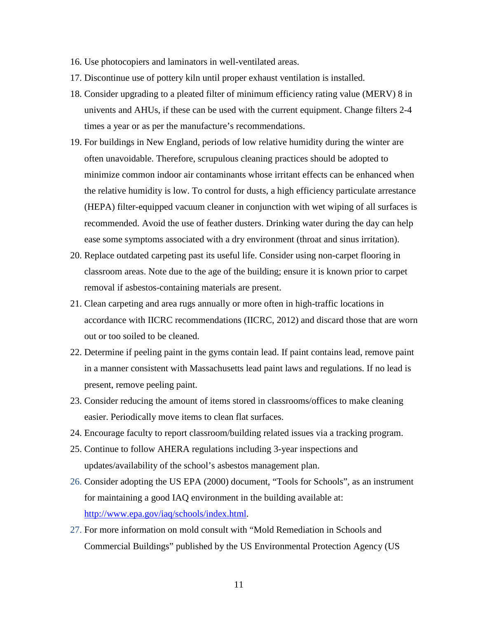- 16. Use photocopiers and laminators in well-ventilated areas.
- 17. Discontinue use of pottery kiln until proper exhaust ventilation is installed.
- 18. Consider upgrading to a pleated filter of minimum efficiency rating value (MERV) 8 in univents and AHUs, if these can be used with the current equipment. Change filters 2-4 times a year or as per the manufacture's recommendations.
- 19. For buildings in New England, periods of low relative humidity during the winter are often unavoidable. Therefore, scrupulous cleaning practices should be adopted to minimize common indoor air contaminants whose irritant effects can be enhanced when the relative humidity is low. To control for dusts, a high efficiency particulate arrestance (HEPA) filter-equipped vacuum cleaner in conjunction with wet wiping of all surfaces is recommended. Avoid the use of feather dusters. Drinking water during the day can help ease some symptoms associated with a dry environment (throat and sinus irritation).
- 20. Replace outdated carpeting past its useful life. Consider using non-carpet flooring in classroom areas. Note due to the age of the building; ensure it is known prior to carpet removal if asbestos-containing materials are present.
- 21. Clean carpeting and area rugs annually or more often in high-traffic locations in accordance with IICRC recommendations (IICRC, 2012) and discard those that are worn out or too soiled to be cleaned.
- 22. Determine if peeling paint in the gyms contain lead. If paint contains lead, remove paint in a manner consistent with Massachusetts lead paint laws and regulations. If no lead is present, remove peeling paint.
- 23. Consider reducing the amount of items stored in classrooms/offices to make cleaning easier. Periodically move items to clean flat surfaces.
- 24. Encourage faculty to report classroom/building related issues via a tracking program.
- 25. Continue to follow AHERA regulations including 3-year inspections and updates/availability of the school's asbestos management plan.
- 26. Consider adopting the US EPA (2000) document, "Tools for Schools", as an instrument for maintaining a good IAQ environment in the building available at: [http://www.epa.gov/iaq/schools/index.html.](http://www.epa.gov/iaq/schools/index.html)
- 27. For more information on mold consult with "Mold Remediation in Schools and Commercial Buildings" published by the US Environmental Protection Agency (US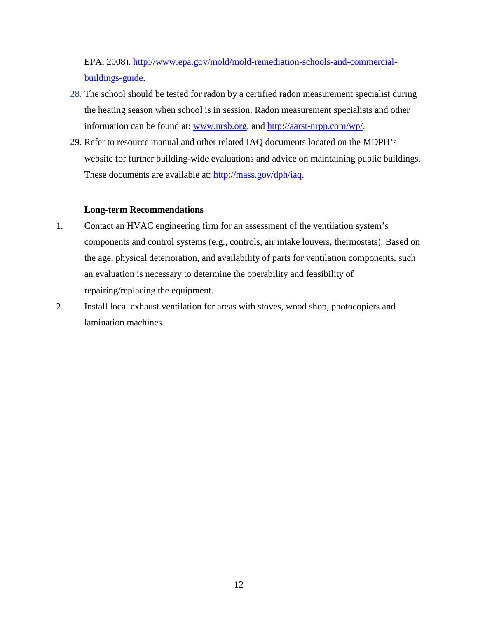EPA, 2008). [http://www.epa.gov/mold/mold-remediation-schools-and-commercial](http://www.epa.gov/mold/mold-remediation-schools-and-commercial-buildings-guide)[buildings-guide.](http://www.epa.gov/mold/mold-remediation-schools-and-commercial-buildings-guide)

- 28. The school should be tested for radon by a certified radon measurement specialist during the heating season when school is in session. Radon measurement specialists and other information can be found at: [www.nrsb.org,](http://www.nrsb.org/) and [http://aarst-nrpp.com/wp/.](http://aarst-nrpp.com/wp/)
- 29. Refer to resource manual and other related IAQ documents located on the MDPH's website for further building-wide evaluations and advice on maintaining public buildings. These documents are available at: [http://mass.gov/dph/iaq.](http://mass.gov/dph/iaq)

### **Long-term Recommendations**

- 1. Contact an HVAC engineering firm for an assessment of the ventilation system's components and control systems (e.g., controls, air intake louvers, thermostats). Based on the age, physical deterioration, and availability of parts for ventilation components, such an evaluation is necessary to determine the operability and feasibility of repairing/replacing the equipment.
- 2. Install local exhaust ventilation for areas with stoves, wood shop, photocopiers and lamination machines.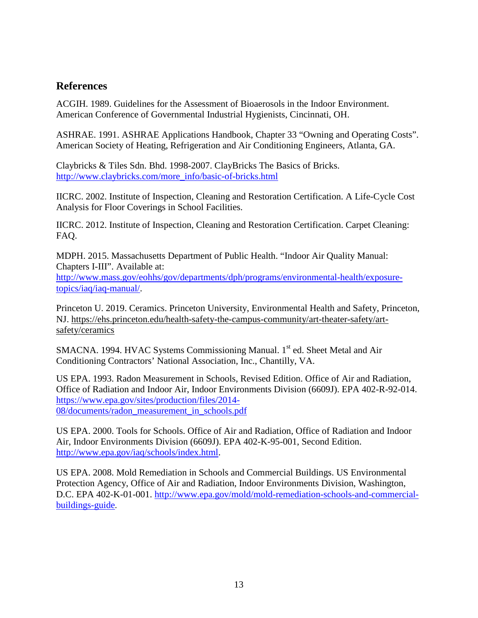## **References**

ACGIH. 1989. Guidelines for the Assessment of Bioaerosols in the Indoor Environment. American Conference of Governmental Industrial Hygienists, Cincinnati, OH.

ASHRAE. 1991. ASHRAE Applications Handbook, Chapter 33 "Owning and Operating Costs". American Society of Heating, Refrigeration and Air Conditioning Engineers, Atlanta, GA.

Claybricks & Tiles Sdn. Bhd. 1998-2007. ClayBricks The Basics of Bricks. [http://www.claybricks.com/more\\_info/basic-of-bricks.html](http://www.claybricks.com/more_info/basic-of-bricks.html)

IICRC. 2002. Institute of Inspection, Cleaning and Restoration Certification. A Life-Cycle Cost Analysis for Floor Coverings in School Facilities.

IICRC. 2012. Institute of Inspection, Cleaning and Restoration Certification. Carpet Cleaning: FAQ.

MDPH. 2015. Massachusetts Department of Public Health. "Indoor Air Quality Manual: Chapters I-III". Available at: [http://www.mass.gov/eohhs/gov/departments/dph/programs/environmental-health/exposure-](http://www.mass.gov/eohhs/gov/departments/dph/programs/environmental-health/exposure-topics/iaq/iaq-manual/)

[topics/iaq/iaq-manual/.](http://www.mass.gov/eohhs/gov/departments/dph/programs/environmental-health/exposure-topics/iaq/iaq-manual/)

Princeton U. 2019. Ceramics. Princeton University, Environmental Health and Safety, Princeton, NJ. [https://ehs.princeton.edu/health-safety-the-campus-community/art-theater-safety/art](https://ehs.princeton.edu/health-safety-the-campus-community/art-theater-safety/art-safety/ceramics)[safety/ceramics](https://ehs.princeton.edu/health-safety-the-campus-community/art-theater-safety/art-safety/ceramics)

SMACNA. 1994. HVAC Systems Commissioning Manual. 1<sup>st</sup> ed. Sheet Metal and Air Conditioning Contractors' National Association, Inc., Chantilly, VA.

US EPA. 1993. Radon Measurement in Schools, Revised Edition. Office of Air and Radiation, Office of Radiation and Indoor Air, Indoor Environments Division (6609J). EPA 402-R-92-014. [https://www.epa.gov/sites/production/files/2014-](https://www.epa.gov/sites/production/files/2014-08/documents/radon_measurement_in_schools.pdf) [08/documents/radon\\_measurement\\_in\\_schools.pdf](https://www.epa.gov/sites/production/files/2014-08/documents/radon_measurement_in_schools.pdf)

US EPA. 2000. Tools for Schools. Office of Air and Radiation, Office of Radiation and Indoor Air, Indoor Environments Division (6609J). EPA 402-K-95-001, Second Edition. [http://www.epa.gov/iaq/schools/index.html.](http://www.epa.gov/iaq/schools/index.html)

US EPA. 2008. Mold Remediation in Schools and Commercial Buildings. US Environmental Protection Agency, Office of Air and Radiation, Indoor Environments Division, Washington, D.C. EPA 402-K-01-001. [http://www.epa.gov/mold/mold-remediation-schools-and-commercial](http://www.epa.gov/mold/mold-remediation-schools-and-commercial-buildings-guide)[buildings-guide.](http://www.epa.gov/mold/mold-remediation-schools-and-commercial-buildings-guide)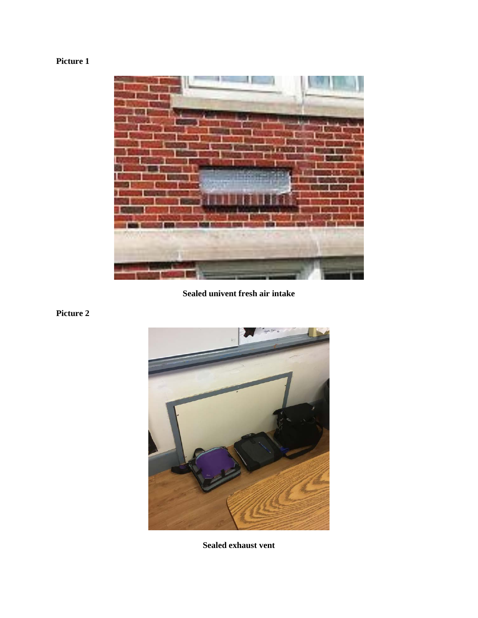

**Sealed univent fresh air intake**



**Sealed exhaust vent**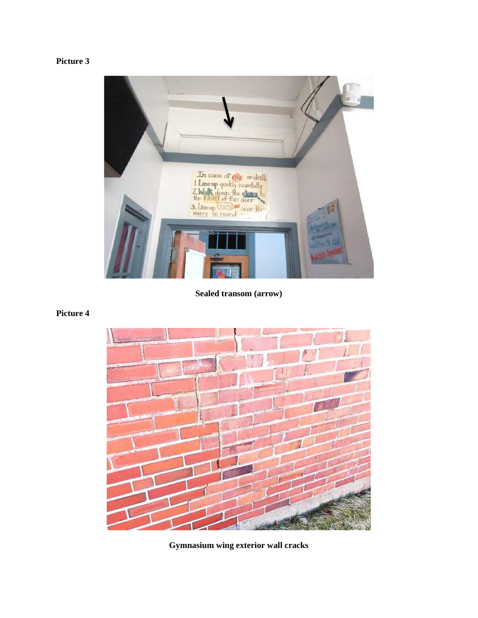

**Sealed transom (arrow)**



**Gymnasium wing exterior wall cracks**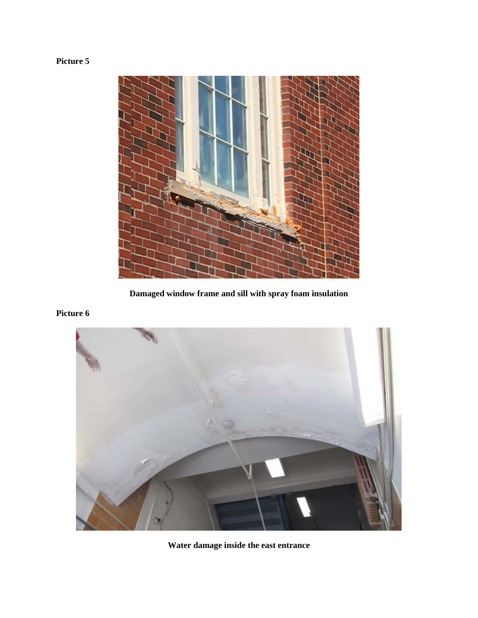

**Damaged window frame and sill with spray foam insulation**



**Water damage inside the east entrance**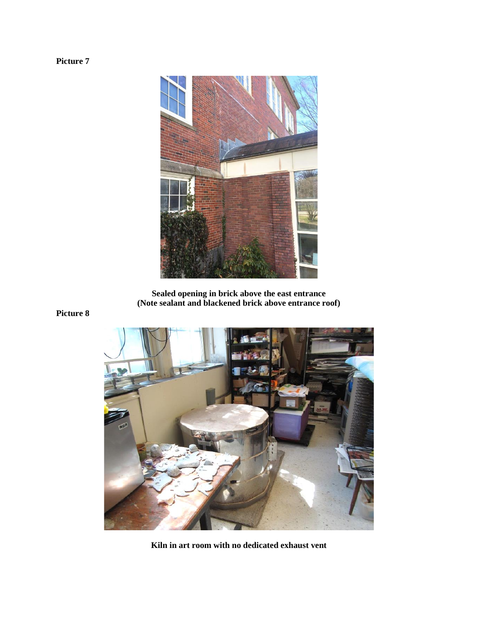

**Sealed opening in brick above the east entrance (Note sealant and blackened brick above entrance roof)**



**Kiln in art room with no dedicated exhaust vent**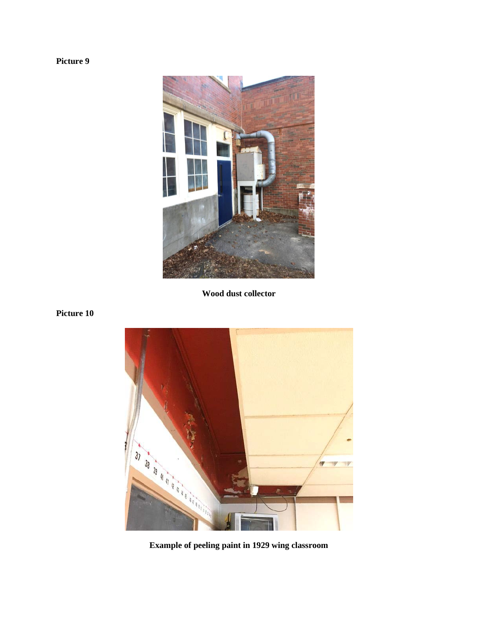

**Wood dust collector**

## **Picture 10**



**Example of peeling paint in 1929 wing classroom**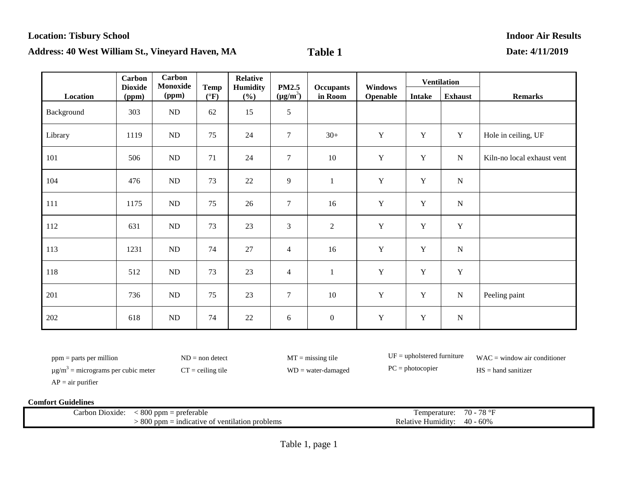|            | <b>Carbon</b>           | <b>Carbon</b><br>Monoxide |                                | <b>Relative</b>        |                               |                             |                            |               | <b>Ventilation</b> |                            |
|------------|-------------------------|---------------------------|--------------------------------|------------------------|-------------------------------|-----------------------------|----------------------------|---------------|--------------------|----------------------------|
| Location   | <b>Dioxide</b><br>(ppm) | (ppm)                     | <b>Temp</b><br>$({}^{\circ}F)$ | <b>Humidity</b><br>(%) | <b>PM2.5</b><br>$(\mu g/m^3)$ | <b>Occupants</b><br>in Room | <b>Windows</b><br>Openable | <b>Intake</b> | <b>Exhaust</b>     | <b>Remarks</b>             |
| Background | 303                     | ND                        | 62                             | 15                     | 5                             |                             |                            |               |                    |                            |
| Library    | 1119                    | ND                        | 75                             | 24                     | $\boldsymbol{7}$              | $30+$                       | $\mathbf Y$                | Y             | Y                  | Hole in ceiling, UF        |
| 101        | 506                     | ND                        | 71                             | 24                     | $\tau$                        | 10                          | $\mathbf Y$                | $\mathbf Y$   | ${\bf N}$          | Kiln-no local exhaust vent |
| 104        | 476                     | ND                        | 73                             | 22                     | $\overline{9}$                | $\mathbf{1}$                | $\mathbf Y$                | $\mathbf Y$   | ${\bf N}$          |                            |
| 111        | 1175                    | ND                        | 75                             | 26                     | $\tau$                        | 16                          | $\mathbf Y$                | $\mathbf Y$   | ${\bf N}$          |                            |
| 112        | 631                     | ND                        | 73                             | 23                     | 3                             | $\sqrt{2}$                  | $\mathbf Y$                | Y             | $\mathbf Y$        |                            |
| 113        | 1231                    | ND                        | 74                             | $27\,$                 | $\overline{4}$                | 16                          | $\mathbf Y$                | Y             | ${\bf N}$          |                            |
| 118        | 512                     | ND                        | 73                             | 23                     | $\overline{4}$                | $\mathbf{1}$                | $\mathbf Y$                | Y             | $\mathbf Y$        |                            |
| 201        | 736                     | ND                        | 75                             | 23                     | $\tau$                        | 10                          | Y                          | Y             | ${\bf N}$          | Peeling paint              |
| 202        | 618                     | $\rm ND$                  | 74                             | $22\,$                 | 6                             | $\boldsymbol{0}$            | $\mathbf Y$                | $\mathbf Y$   | ${\bf N}$          |                            |

ppm = parts per million ND = non detect MT = missing tile UF = upholstered furniture WAC = window air conditioner

 $\mu$ g/m<sup>3</sup> = micrograms per cubic meter CT = ceiling tile WD = water-damaged PC = photocopier HS = hand sanitizer

 $AP = air$  purifier

| - -<br>arbon<br>Dioxide: | 800<br>preferable<br>$'$ ) ppm                     | emperature:                     | $70^{\circ}$<br>$\tau$ or |
|--------------------------|----------------------------------------------------|---------------------------------|---------------------------|
|                          | 800<br>indicative of ventilation problems<br>l ppm | $\cdot$<br>Humidity:<br>Relativ | $-60%$<br>40              |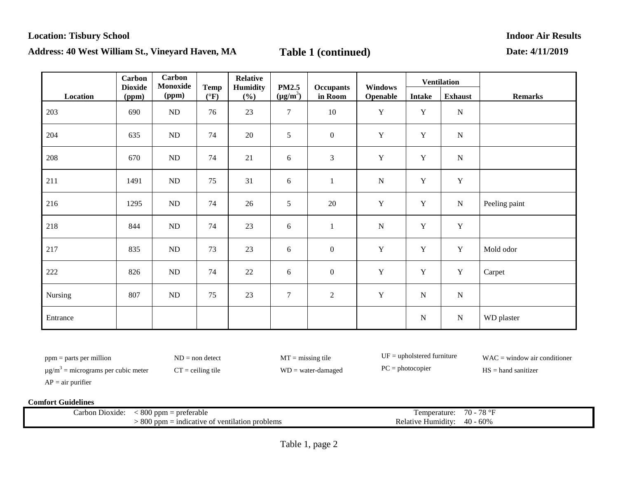|          | <b>Carbon</b>           | <b>Carbon</b><br>Monoxide |                                | <b>Relative</b> |                               |                             |                            |               | <b>Ventilation</b> |                |
|----------|-------------------------|---------------------------|--------------------------------|-----------------|-------------------------------|-----------------------------|----------------------------|---------------|--------------------|----------------|
| Location | <b>Dioxide</b><br>(ppm) | (ppm)                     | <b>Temp</b><br>$({}^{\circ}F)$ | Humidity<br>(%) | <b>PM2.5</b><br>$(\mu g/m^3)$ | <b>Occupants</b><br>in Room | <b>Windows</b><br>Openable | <b>Intake</b> | <b>Exhaust</b>     | <b>Remarks</b> |
| 203      | 690                     | $\rm ND$                  | 76                             | 23              | $\overline{7}$                | $10\,$                      | $\mathbf Y$                | $\mathbf Y$   | ${\bf N}$          |                |
| 204      | 635                     | ND                        | 74                             | 20              | 5                             | $\boldsymbol{0}$            | $\mathbf Y$                | $\mathbf Y$   | ${\bf N}$          |                |
| 208      | 670                     | $\rm ND$                  | 74                             | 21              | $\sqrt{6}$                    | $\mathfrak{Z}$              | $\mathbf Y$                | $\mathbf Y$   | ${\bf N}$          |                |
| 211      | 1491                    | ND                        | 75                             | 31              | $\sqrt{6}$                    | $\mathbf{1}$                | ${\bf N}$                  | $\mathbf Y$   | $\mathbf Y$        |                |
| 216      | 1295                    | ND                        | 74                             | 26              | 5                             | 20                          | $\mathbf Y$                | $\mathbf Y$   | ${\bf N}$          | Peeling paint  |
| 218      | 844                     | ND                        | 74                             | 23              | $6\,$                         | $\mathbf{1}$                | $\mathbf N$                | $\mathbf Y$   | $\mathbf Y$        |                |
| 217      | 835                     | $\rm ND$                  | 73                             | 23              | $\sqrt{6}$                    | $\boldsymbol{0}$            | $\mathbf Y$                | $\mathbf Y$   | $\mathbf Y$        | Mold odor      |
| 222      | 826                     | ND                        | 74                             | 22              | $\sqrt{6}$                    | $\boldsymbol{0}$            | $\mathbf Y$                | $\mathbf Y$   | $\mathbf Y$        | Carpet         |
| Nursing  | 807                     | ND                        | 75                             | 23              | $\tau$                        | $\overline{2}$              | Y                          | ${\bf N}$     | ${\bf N}$          |                |
| Entrance |                         |                           |                                |                 |                               |                             |                            | ${\bf N}$     | ${\bf N}$          | WD plaster     |

ppm = parts per million ND = non detect MT = missing tile UF = upholstered furniture WAC = window air conditioner

 $\mu$ g/m<sup>3</sup> = micrograms per cubic meter CT = ceiling tile WD = water-damaged PC = photocopier HS = hand sanitizer

 $AP = air$  purifier

| Carbon<br>Dioxide: | $\Omega$<br>preferable<br>` ppm<br>ovv                                  | l'emperature:                       | 70<br>$\overline{\phantom{a}}$<br>, O<br>$\cdot$ |
|--------------------|-------------------------------------------------------------------------|-------------------------------------|--------------------------------------------------|
|                    | 800<br>$\cdot$<br>indicative of ventilation<br>i problems<br>mnr<br>ovv | -Humidity<br>$\kappa$ elativ<br>. . | ے ہ<br>OU%<br>7 L I<br>$\mathbf{u}$              |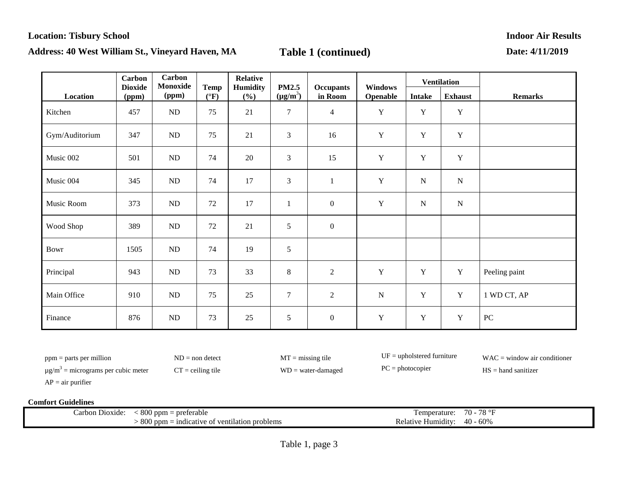|                | Carbon<br><b>Dioxide</b> | Carbon<br>Monoxide | <b>Temp</b>   | <b>Relative</b><br>Humidity | <b>PM2.5</b>   |                             | <b>Windows</b> |               | <b>Ventilation</b> |                |
|----------------|--------------------------|--------------------|---------------|-----------------------------|----------------|-----------------------------|----------------|---------------|--------------------|----------------|
| Location       | (ppm)                    | (ppm)              | $(^{\circ}F)$ | (%)                         | $(\mu g/m^3)$  | <b>Occupants</b><br>in Room | Openable       | <b>Intake</b> | <b>Exhaust</b>     | <b>Remarks</b> |
| Kitchen        | 457                      | $\rm ND$           | 75            | 21                          | $\overline{7}$ | $\overline{4}$              | $\mathbf Y$    | Y             | $\mathbf Y$        |                |
| Gym/Auditorium | 347                      | $\rm ND$           | 75            | 21                          | $\mathfrak{Z}$ | 16                          | $\mathbf Y$    | $\mathbf Y$   | $\mathbf Y$        |                |
| Music 002      | 501                      | ND                 | 74            | 20                          | $\mathfrak{Z}$ | 15                          | $\mathbf Y$    | $\mathbf Y$   | $\mathbf Y$        |                |
| Music 004      | 345                      | ND                 | 74            | 17                          | $\mathfrak{Z}$ | $\mathbf{1}$                | $\mathbf Y$    | $\mathbf N$   | ${\bf N}$          |                |
| Music Room     | 373                      | $\rm ND$           | 72            | 17                          | 1              | $\boldsymbol{0}$            | $\mathbf Y$    | ${\bf N}$     | $\mathbf N$        |                |
| Wood Shop      | 389                      | ND                 | 72            | 21                          | 5              | $\boldsymbol{0}$            |                |               |                    |                |
| Bowr           | 1505                     | ND                 | 74            | 19                          | 5              |                             |                |               |                    |                |
| Principal      | 943                      | ND                 | 73            | 33                          | $8\phantom{.}$ | $\overline{2}$              | Y              | Y             | $\mathbf Y$        | Peeling paint  |
| Main Office    | 910                      | ND                 | 75            | 25                          | $\overline{7}$ | $\overline{2}$              | $\mathbf N$    | Y             | $\mathbf Y$        | 1 WD CT, AP    |
| Finance        | 876                      | ND                 | 73            | 25                          | $\sqrt{5}$     | $\boldsymbol{0}$            | $\mathbf Y$    | $\mathbf Y$   | $\mathbf Y$        | PC             |

ppm = parts per million ND = non detect MT = missing tile UF = upholstered furniture WAC = window air conditioner

 $\mu$ g/m<sup>3</sup> = micrograms per cubic meter CT = ceiling tile WD = water-damaged PC = photocopier HS = hand sanitizer

 $AP = air$  purifier

| Carbon Dioxide: | $\Omega$<br>preferable<br>' ppm<br>ovv                                | emperature                               | $\sim$<br>77 N<br>◡                                            |
|-----------------|-----------------------------------------------------------------------|------------------------------------------|----------------------------------------------------------------|
|                 | 800<br>cative of ventilation problems<br>indic<br>` ppm<br>$_{\rm o}$ | . .<br>Humidity <sup>.</sup><br>Relative | $\Omega$<br>$\Delta\Omega$<br>$\sim$ 00 $\sim$<br>$\mathbf{u}$ |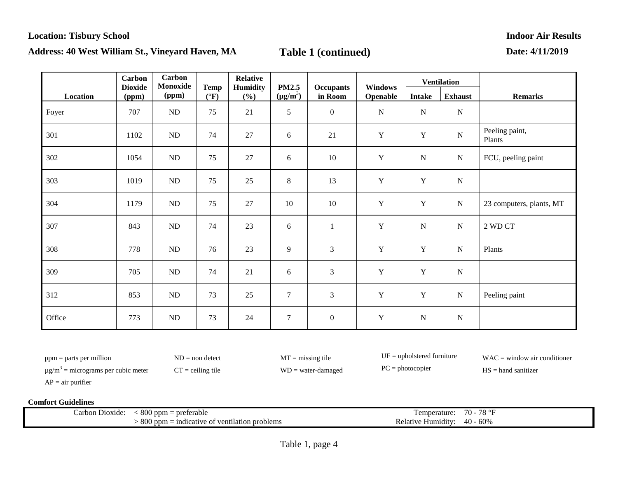|          | <b>Carbon</b><br><b>Dioxide</b> | <b>Carbon</b><br>Monoxide | <b>Temp</b>     | <b>Relative</b> | <b>PM2.5</b>     |                             | <b>Windows</b> |               | <b>Ventilation</b> |                          |
|----------|---------------------------------|---------------------------|-----------------|-----------------|------------------|-----------------------------|----------------|---------------|--------------------|--------------------------|
| Location | (ppm)                           | (ppm)                     | $({}^{\circ}F)$ | Humidity<br>(%) | $(\mu g/m^3)$    | <b>Occupants</b><br>in Room | Openable       | <b>Intake</b> | <b>Exhaust</b>     | <b>Remarks</b>           |
| Foyer    | 707                             | ND                        | 75              | 21              | 5                | $\mathbf{0}$                | $\mathbf N$    | ${\bf N}$     | ${\bf N}$          |                          |
| 301      | 1102                            | $\rm ND$                  | 74              | 27              | 6                | 21                          | $\mathbf Y$    | $\mathbf Y$   | $\mathbf N$        | Peeling paint,<br>Plants |
| 302      | 1054                            | $\rm ND$                  | 75              | 27              | 6                | 10                          | $\mathbf Y$    | ${\bf N}$     | ${\bf N}$          | FCU, peeling paint       |
| 303      | 1019                            | $\rm ND$                  | 75              | 25              | $8\phantom{.0}$  | 13                          | $\mathbf Y$    | $\mathbf Y$   | ${\bf N}$          |                          |
| 304      | 1179                            | ${\rm ND}$                | 75              | 27              | 10               | 10                          | $\mathbf Y$    | $\mathbf Y$   | ${\bf N}$          | 23 computers, plants, MT |
| 307      | 843                             | $\rm ND$                  | 74              | 23              | 6                | $\mathbf{1}$                | $\mathbf Y$    | ${\bf N}$     | ${\bf N}$          | 2 WD CT                  |
| 308      | 778                             | $\rm ND$                  | 76              | 23              | 9                | $\mathfrak{Z}$              | $\mathbf Y$    | $\mathbf Y$   | ${\bf N}$          | Plants                   |
| 309      | 705                             | ND                        | 74              | 21              | 6                | $\mathfrak{Z}$              | $\mathbf Y$    | $\mathbf Y$   | ${\bf N}$          |                          |
| 312      | 853                             | ${\rm ND}$                | 73              | 25              | $\tau$           | 3                           | $\mathbf Y$    | $\mathbf Y$   | ${\bf N}$          | Peeling paint            |
| Office   | 773                             | $\rm ND$                  | 73              | 24              | $\boldsymbol{7}$ | $\boldsymbol{0}$            | $\mathbf Y$    | ${\bf N}$     | ${\bf N}$          |                          |

ppm = parts per million ND = non detect MT = missing tile UF = upholstered furniture WAC = window air conditioner

 $\mu$ g/m<sup>3</sup> = micrograms per cubic meter CT = ceiling tile WD = water-damaged PC = photocopier HS = hand sanitizer

 $AP = air$  purifier

| Carbon Dioxide: | $\Omega$<br>preferable<br>' ppm<br>ovv                                | emperature                               | $\sim$<br>77 N<br>◡                                            |
|-----------------|-----------------------------------------------------------------------|------------------------------------------|----------------------------------------------------------------|
|                 | 800<br>cative of ventilation problems<br>indic<br>` ppm<br>$_{\rm o}$ | . .<br>Humidity <sup>.</sup><br>Relative | $\Omega$<br>$\Delta\Omega$<br>$\sim$ 00 $\sim$<br>$\mathbf{u}$ |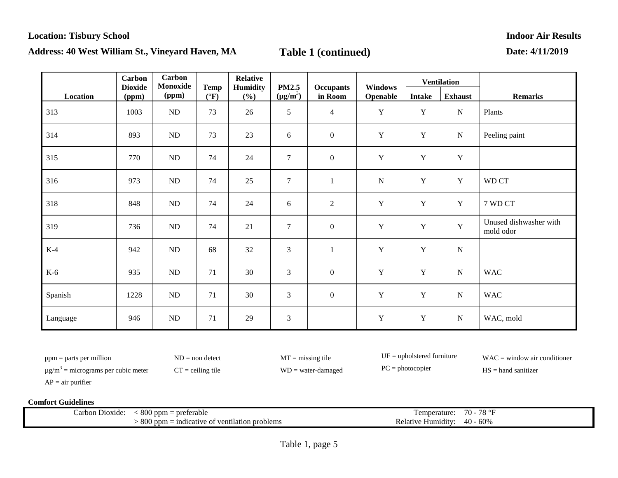|          | <b>Carbon</b><br><b>Dioxide</b> | Carbon<br>Monoxide | <b>Temp</b>     | <b>Relative</b><br>Humidity | <b>PM2.5</b>   |                             | Windows     |               | <b>Ventilation</b> |                                     |
|----------|---------------------------------|--------------------|-----------------|-----------------------------|----------------|-----------------------------|-------------|---------------|--------------------|-------------------------------------|
| Location | (ppm)                           | (ppm)              | $({}^{\circ}F)$ | $(\%)$                      | $(\mu g/m^3)$  | <b>Occupants</b><br>in Room | Openable    | <b>Intake</b> | <b>Exhaust</b>     | <b>Remarks</b>                      |
| 313      | 1003                            | ${\rm ND}$         | 73              | 26                          | 5              | $\overline{4}$              | $\mathbf Y$ | $\mathbf Y$   | ${\bf N}$          | Plants                              |
| 314      | 893                             | ND                 | 73              | 23                          | 6              | $\boldsymbol{0}$            | $\mathbf Y$ | $\mathbf Y$   | ${\bf N}$          | Peeling paint                       |
| 315      | 770                             | ND                 | 74              | 24                          | $\overline{7}$ | $\mathbf{0}$                | Y           | $\mathbf Y$   | Y                  |                                     |
| 316      | 973                             | ND                 | 74              | 25                          | $\overline{7}$ | $\mathbf{1}$                | $\mathbf N$ | $\mathbf Y$   | $\mathbf Y$        | WD CT                               |
| 318      | 848                             | ${\rm ND}$         | 74              | 24                          | 6              | $\overline{2}$              | $\mathbf Y$ | $\mathbf Y$   | $\mathbf Y$        | 7 WD CT                             |
| 319      | 736                             | ND                 | 74              | 21                          | $\overline{7}$ | $\mathbf{0}$                | $\mathbf Y$ | $\mathbf Y$   | Y                  | Unused dishwasher with<br>mold odor |
| $K-4$    | 942                             | ND                 | 68              | 32                          | 3              | $\mathbf{1}$                | $\mathbf Y$ | $\mathbf Y$   | ${\bf N}$          |                                     |
| $K-6$    | 935                             | ND                 | 71              | 30                          | $\mathfrak{Z}$ | $\boldsymbol{0}$            | $\mathbf Y$ | $\mathbf Y$   | ${\bf N}$          | <b>WAC</b>                          |
| Spanish  | 1228                            | ND                 | 71              | 30                          | 3              | $\boldsymbol{0}$            | $\mathbf Y$ | $\mathbf Y$   | ${\bf N}$          | <b>WAC</b>                          |
| Language | 946                             | ND                 | 71              | 29                          | 3              |                             | $\mathbf Y$ | $\mathbf Y$   | ${\bf N}$          | WAC, mold                           |

ppm = parts per million ND = non detect MT = missing tile UF = upholstered furniture WAC = window air conditioner

 $\mu$ g/m<sup>3</sup> = micrograms per cubic meter CT = ceiling tile WD = water-damaged PC = photocopier HS = hand sanitizer

 $AP = air$  purifier

| on Dioxide<br>earbo | $\sim$ $\sim$<br>. 800 ppm =<br>: preferable      | en<br>nnerature:                  | $\overline{\phantom{a}}$<br>70<br>$\sim$<br>`` |
|---------------------|---------------------------------------------------|-----------------------------------|------------------------------------------------|
|                     | $800$ ppm<br>- indicative of ventilation problems | $\cdots$<br>Humidity:<br>Relative | 40<br>$-60\%$                                  |